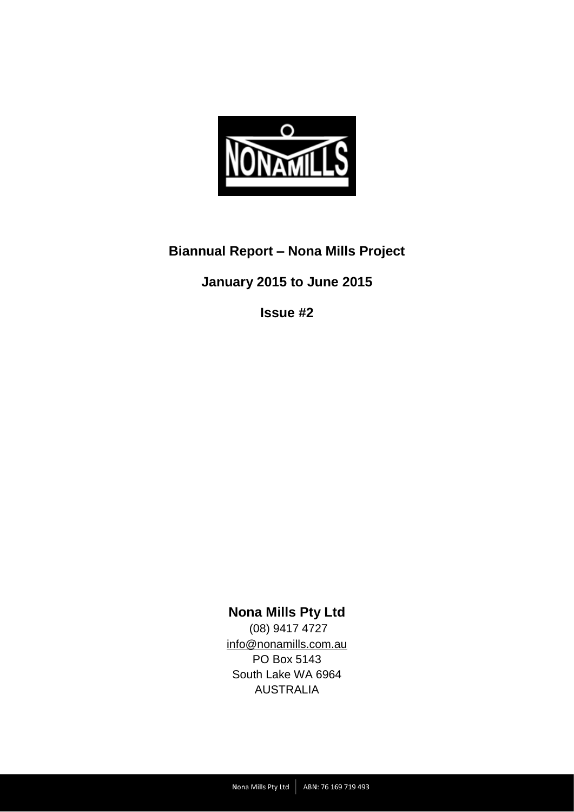

# **Biannual Report – Nona Mills Project**

# **January 2015 to June 2015**

**Issue #2**

# **Nona Mills Pty Ltd**

(08) 9417 4727 [info@nonamills.com.au](mailto:info@nonamills.com.au) PO Box 5143 South Lake WA 6964 AUSTRALIA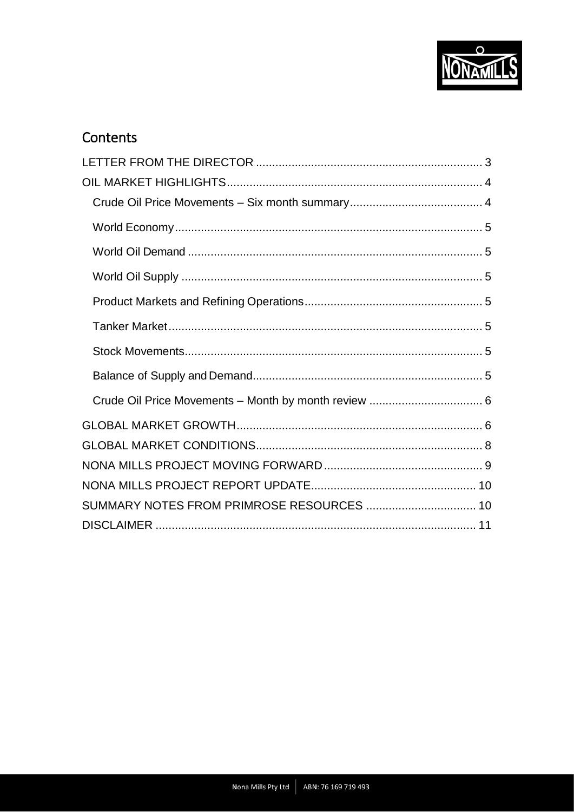

# Contents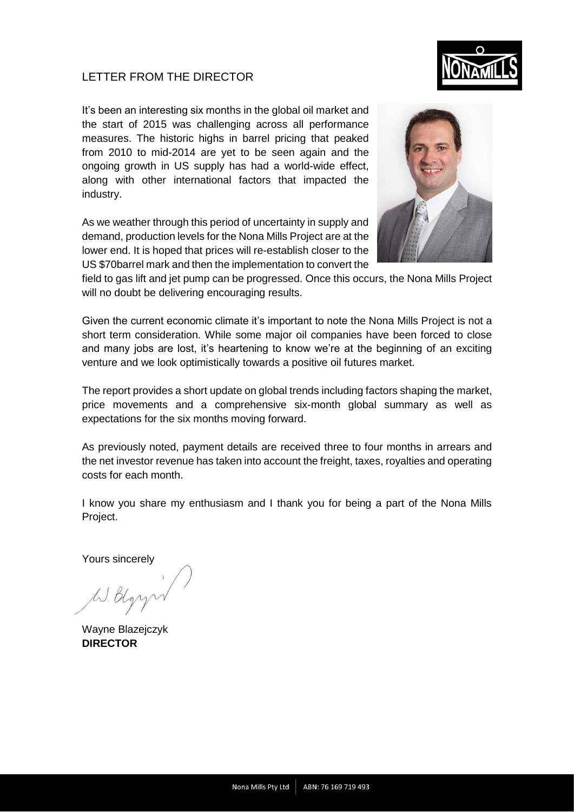## <span id="page-2-0"></span>LETTER FROM THE DIRECTOR



As we weather through this period of uncertainty in supply and demand, production levels for the Nona Mills Project are at the lower end. It is hoped that prices will re-establish closer to the US \$70barrel mark and then the implementation to convert the



field to gas lift and jet pump can be progressed. Once this occurs, the Nona Mills Project will no doubt be delivering encouraging results.

Given the current economic climate it's important to note the Nona Mills Project is not a short term consideration. While some major oil companies have been forced to close and many jobs are lost, it's heartening to know we're at the beginning of an exciting venture and we look optimistically towards a positive oil futures market.

The report provides a short update on global trends including factors shaping the market, price movements and a comprehensive six-month global summary as well as expectations for the six months moving forward.

As previously noted, payment details are received three to four months in arrears and the net investor revenue has taken into account the freight, taxes, royalties and operating costs for each month.

I know you share my enthusiasm and I thank you for being a part of the Nona Mills Project.

Yours sincerely

Wayne Blazejczyk **DIRECTOR**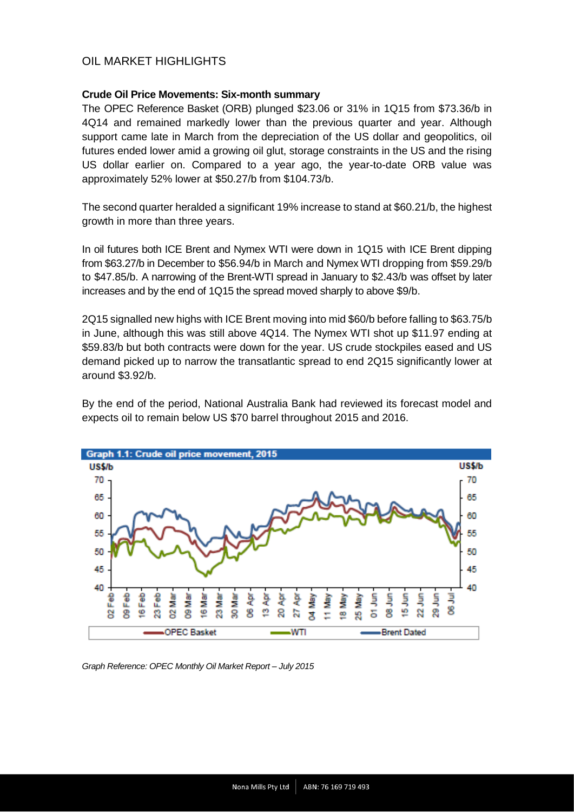## <span id="page-3-0"></span>OIL MARKET HIGHLIGHTS

#### <span id="page-3-1"></span>**Crude Oil Price Movements: Six-month summary**

The OPEC Reference Basket (ORB) plunged \$23.06 or 31% in 1Q15 from \$73.36/b in 4Q14 and remained markedly lower than the previous quarter and year. Although support came late in March from the depreciation of the US dollar and geopolitics, oil futures ended lower amid a growing oil glut, storage constraints in the US and the rising US dollar earlier on. Compared to a year ago, the year-to-date ORB value was approximately 52% lower at \$50.27/b from \$104.73/b.

The second quarter heralded a significant 19% increase to stand at \$60.21/b, the highest growth in more than three years.

In oil futures both ICE Brent and Nymex WTI were down in 1Q15 with ICE Brent dipping from \$63.27/b in December to \$56.94/b in March and Nymex WTI dropping from \$59.29/b to \$47.85/b. A narrowing of the Brent-WTI spread in January to \$2.43/b was offset by later increases and by the end of 1Q15 the spread moved sharply to above \$9/b.

2Q15 signalled new highs with ICE Brent moving into mid \$60/b before falling to \$63.75/b in June, although this was still above 4Q14. The Nymex WTI shot up \$11.97 ending at \$59.83/b but both contracts were down for the year. US crude stockpiles eased and US demand picked up to narrow the transatlantic spread to end 2Q15 significantly lower at around \$3.92/b.

By the end of the period, National Australia Bank had reviewed its forecast model and expects oil to remain below US \$70 barrel throughout 2015 and 2016.



*Graph Reference: OPEC Monthly Oil Market Report – July 2015*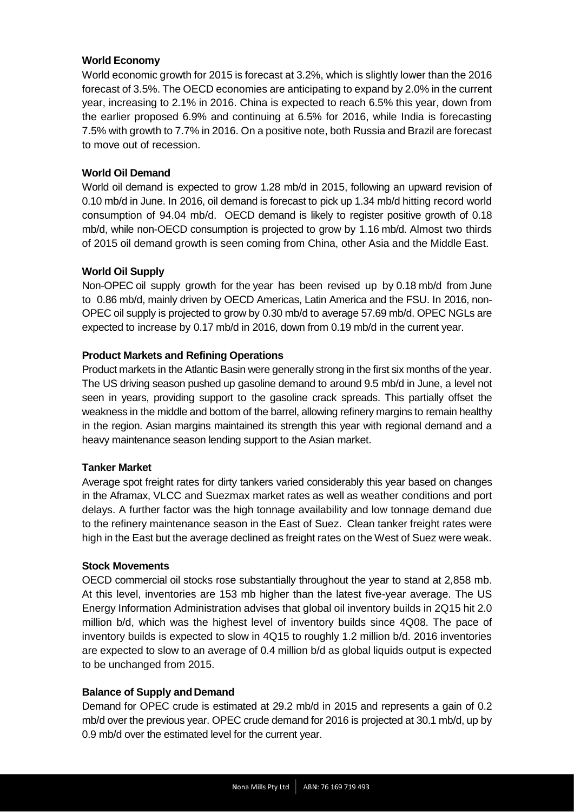### <span id="page-4-0"></span>**World Economy**

World economic growth for 2015 is forecast at 3.2%, which is slightly lower than the 2016 forecast of 3.5%. The OECD economies are anticipating to expand by 2.0% in the current year, increasing to 2.1% in 2016. China is expected to reach 6.5% this year, down from the earlier proposed 6.9% and continuing at 6.5% for 2016, while India is forecasting 7.5% with growth to 7.7% in 2016. On a positive note, both Russia and Brazil are forecast to move out of recession.

### <span id="page-4-1"></span>**World Oil Demand**

World oil demand is expected to grow 1.28 mb/d in 2015, following an upward revision of 0.10 mb/d in June. In 2016, oil demand is forecast to pick up 1.34 mb/d hitting record world consumption of 94.04 mb/d. OECD demand is likely to register positive growth of 0.18 mb/d, while non-OECD consumption is projected to grow by 1.16 mb/d. Almost two thirds of 2015 oil demand growth is seen coming from China, other Asia and the Middle East.

### <span id="page-4-2"></span>**World Oil Supply**

Non-OPEC oil supply growth for the year has been revised up by 0.18 mb/d from June to 0.86 mb/d, mainly driven by OECD Americas, Latin America and the FSU. In 2016, non-OPEC oil supply is projected to grow by 0.30 mb/d to average 57.69 mb/d. OPEC NGLs are expected to increase by 0.17 mb/d in 2016, down from 0.19 mb/d in the current year.

#### <span id="page-4-3"></span>**Product Markets and Refining Operations**

Product markets in the Atlantic Basin were generally strong in the first six months of the year. The US driving season pushed up gasoline demand to around 9.5 mb/d in June, a level not seen in years, providing support to the gasoline crack spreads. This partially offset the weakness in the middle and bottom of the barrel, allowing refinery margins to remain healthy in the region. Asian margins maintained its strength this year with regional demand and a heavy maintenance season lending support to the Asian market.

#### <span id="page-4-4"></span>**Tanker Market**

Average spot freight rates for dirty tankers varied considerably this year based on changes in the Aframax, VLCC and Suezmax market rates as well as weather conditions and port delays. A further factor was the high tonnage availability and low tonnage demand due to the refinery maintenance season in the East of Suez. Clean tanker freight rates were high in the East but the average declined as freight rates on the West of Suez were weak.

#### <span id="page-4-5"></span>**Stock Movements**

OECD commercial oil stocks rose substantially throughout the year to stand at 2,858 mb. At this level, inventories are 153 mb higher than the latest five-year average. The US Energy Information Administration advises that global oil inventory builds in 2Q15 hit 2.0 million b/d, which was the highest level of inventory builds since 4Q08. The pace of inventory builds is expected to slow in 4Q15 to roughly 1.2 million b/d. 2016 inventories are expected to slow to an average of 0.4 million b/d as global liquids output is expected to be unchanged from 2015.

#### <span id="page-4-6"></span>**Balance of Supply and Demand**

Demand for OPEC crude is estimated at 29.2 mb/d in 2015 and represents a gain of 0.2 mb/d over the previous year. OPEC crude demand for 2016 is projected at 30.1 mb/d, up by 0.9 mb/d over the estimated level for the current year.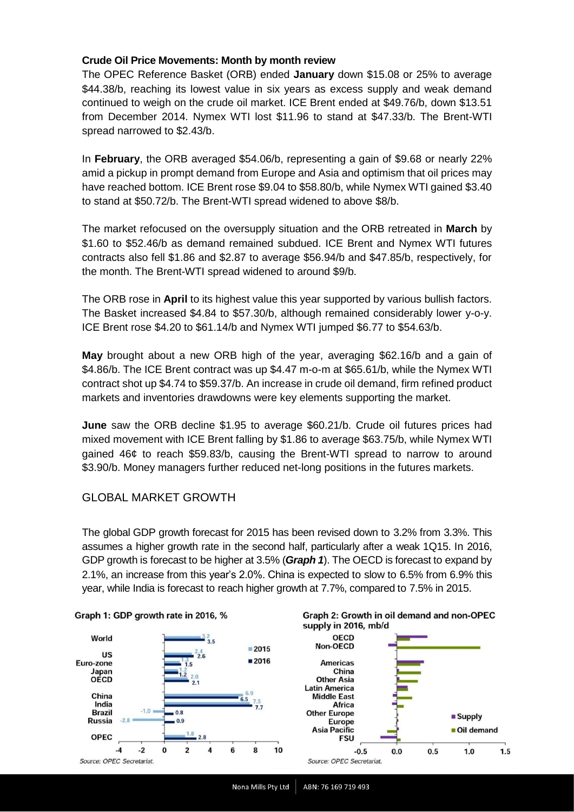### <span id="page-5-0"></span>**Crude Oil Price Movements: Month by month review**

The OPEC Reference Basket (ORB) ended **January** down \$15.08 or 25% to average \$44.38/b, reaching its lowest value in six years as excess supply and weak demand continued to weigh on the crude oil market. ICE Brent ended at \$49.76/b, down \$13.51 from December 2014. Nymex WTI lost \$11.96 to stand at \$47.33/b. The Brent-WTI spread narrowed to \$2.43/b.

In **February**, the ORB averaged \$54.06/b, representing a gain of \$9.68 or nearly 22% amid a pickup in prompt demand from Europe and Asia and optimism that oil prices may have reached bottom. ICE Brent rose \$9.04 to \$58.80/b, while Nymex WTI gained \$3.40 to stand at \$50.72/b. The Brent-WTI spread widened to above \$8/b.

The market refocused on the oversupply situation and the ORB retreated in **March** by \$1.60 to \$52.46/b as demand remained subdued. ICE Brent and Nymex WTI futures contracts also fell \$1.86 and \$2.87 to average \$56.94/b and \$47.85/b, respectively, for the month. The Brent-WTI spread widened to around \$9/b.

The ORB rose in **April** to its highest value this year supported by various bullish factors. The Basket increased \$4.84 to \$57.30/b, although remained considerably lower y-o-y. ICE Brent rose \$4.20 to \$61.14/b and Nymex WTI jumped \$6.77 to \$54.63/b.

**May** brought about a new ORB high of the year, averaging \$62.16/b and a gain of \$4.86/b. The ICE Brent contract was up \$4.47 m-o-m at \$65.61/b, while the Nymex WTI contract shot up \$4.74 to \$59.37/b. An increase in crude oil demand, firm refined product markets and inventories drawdowns were key elements supporting the market.

**June** saw the ORB decline \$1.95 to average \$60.21/b. Crude oil futures prices had mixed movement with ICE Brent falling by \$1.86 to average \$63.75/b, while Nymex WTI gained 46¢ to reach \$59.83/b, causing the Brent-WTI spread to narrow to around \$3.90/b. Money managers further reduced net-long positions in the futures markets.

## <span id="page-5-1"></span>GLOBAL MARKET GROWTH

The global GDP growth forecast for 2015 has been revised down to 3.2% from 3.3%. This assumes a higher growth rate in the second half, particularly after a weak 1Q15. In 2016, GDP growth is forecast to be higher at 3.5% (*Graph 1*). The OECD is forecast to expand by 2.1%, an increase from this year's 2.0%. China is expected to slow to 6.5% from 6.9% this year, while India is forecast to reach higher growth at 7.7%, compared to 7.5% in 2015.





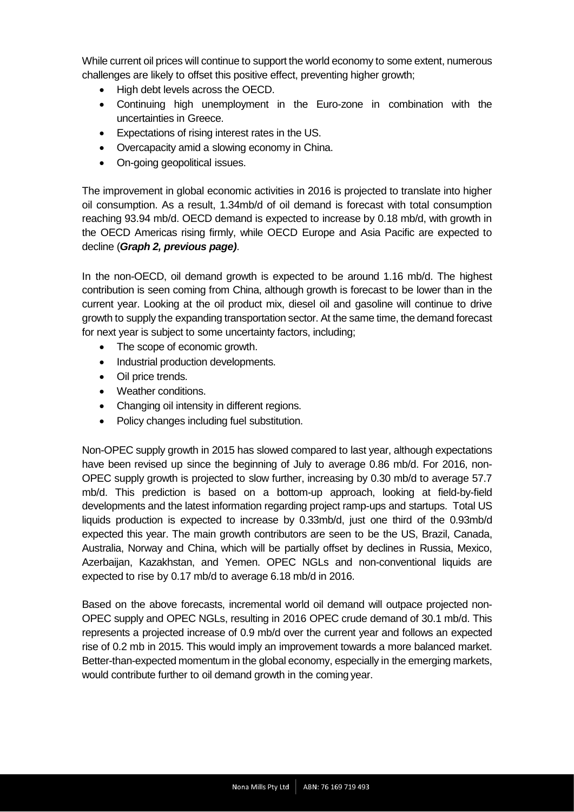While current oil prices will continue to support the world economy to some extent, numerous challenges are likely to offset this positive effect, preventing higher growth;

- High debt levels across the OECD.
- Continuing high unemployment in the Euro-zone in combination with the uncertainties in Greece.
- Expectations of rising interest rates in the US.
- Overcapacity amid a slowing economy in China.
- On-going geopolitical issues.

The improvement in global economic activities in 2016 is projected to translate into higher oil consumption. As a result, 1.34mb/d of oil demand is forecast with total consumption reaching 93.94 mb/d. OECD demand is expected to increase by 0.18 mb/d, with growth in the OECD Americas rising firmly, while OECD Europe and Asia Pacific are expected to decline (*Graph 2, previous page)*.

In the non-OECD, oil demand growth is expected to be around 1.16 mb/d. The highest contribution is seen coming from China, although growth is forecast to be lower than in the current year. Looking at the oil product mix, diesel oil and gasoline will continue to drive growth to supply the expanding transportation sector. At the same time, the demand forecast for next year is subject to some uncertainty factors, including;

- The scope of economic growth.
- Industrial production developments.
- Oil price trends.
- Weather conditions.
- Changing oil intensity in different regions.
- Policy changes including fuel substitution.

Non-OPEC supply growth in 2015 has slowed compared to last year, although expectations have been revised up since the beginning of July to average 0.86 mb/d. For 2016, non-OPEC supply growth is projected to slow further, increasing by 0.30 mb/d to average 57.7 mb/d. This prediction is based on a bottom-up approach, looking at field-by-field developments and the latest information regarding project ramp-ups and startups. Total US liquids production is expected to increase by 0.33mb/d, just one third of the 0.93mb/d expected this year. The main growth contributors are seen to be the US, Brazil, Canada, Australia, Norway and China, which will be partially offset by declines in Russia, Mexico, Azerbaijan, Kazakhstan, and Yemen. OPEC NGLs and non-conventional liquids are expected to rise by 0.17 mb/d to average 6.18 mb/d in 2016.

Based on the above forecasts, incremental world oil demand will outpace projected non-OPEC supply and OPEC NGLs, resulting in 2016 OPEC crude demand of 30.1 mb/d. This represents a projected increase of 0.9 mb/d over the current year and follows an expected rise of 0.2 mb in 2015. This would imply an improvement towards a more balanced market. Better-than-expected momentum in the global economy, especially in the emerging markets, would contribute further to oil demand growth in the coming year.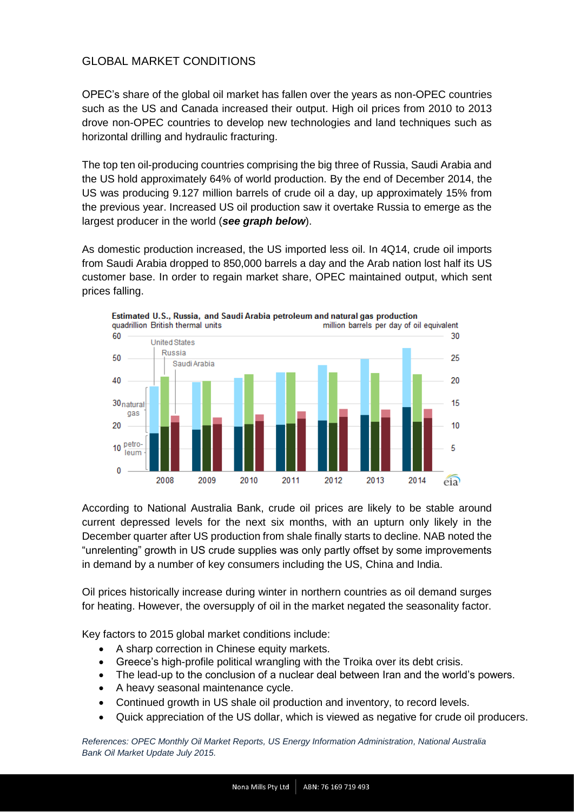## <span id="page-7-0"></span>GLOBAL MARKET CONDITIONS

OPEC's share of the global oil market has fallen over the years as non-OPEC countries such as the US and Canada increased their output. High oil prices from 2010 to 2013 drove non-OPEC countries to develop new technologies and land techniques such as horizontal drilling and hydraulic fracturing.

The top ten oil-producing countries comprising the big three of Russia, Saudi Arabia and the US hold approximately 64% of world production. By the end of December 2014, the US was producing 9.127 million barrels of crude oil a day, up approximately 15% from the previous year. Increased US oil production saw it overtake Russia to emerge as the largest producer in the world (*see graph below*).

As domestic production increased, the US imported less oil. In 4Q14, crude oil imports from Saudi Arabia dropped to 850,000 barrels a day and the Arab nation lost half its US customer base. In order to regain market share, OPEC maintained output, which sent prices falling.



According to National Australia Bank, crude oil prices are likely to be stable around current depressed levels for the next six months, with an upturn only likely in the December quarter after US production from shale finally starts to decline. NAB noted the "unrelenting" growth in US crude supplies was only partly offset by some improvements in demand by a number of key consumers including the US, China and India.

Oil prices historically increase during winter in northern countries as oil demand surges for heating. However, the oversupply of oil in the market negated the seasonality factor.

Key factors to 2015 global market conditions include:

- A sharp correction in Chinese equity markets.
- Greece's high-profile political wrangling with the Troika over its debt crisis.
- The lead-up to the conclusion of a nuclear deal between Iran and the world's powers.
- A heavy seasonal maintenance cycle.
- Continued growth in US shale oil production and inventory, to record levels.
- Quick appreciation of the US dollar, which is viewed as negative for crude oil producers.

*References: OPEC Monthly Oil Market Reports, US Energy Information Administration, National Australia Bank Oil Market Update July 2015.*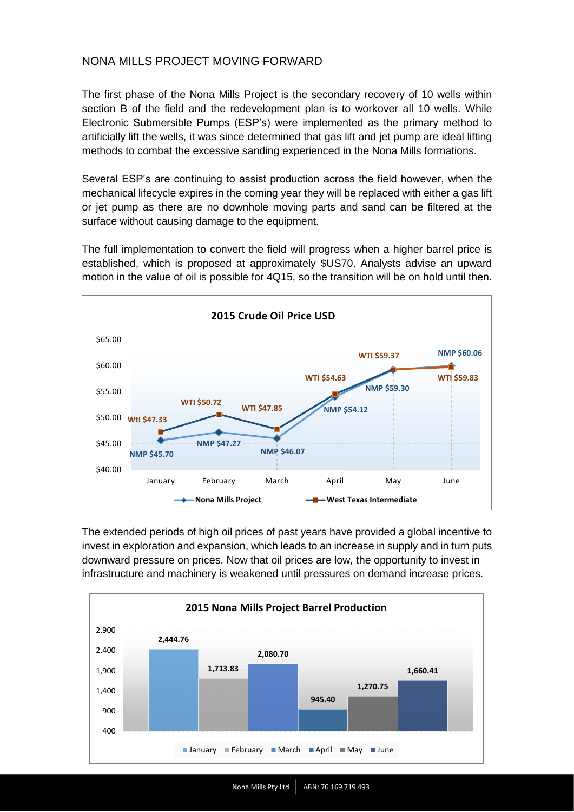## <span id="page-8-0"></span>NONA MILLS PROJECT MOVING FORWARD

The first phase of the Nona Mills Project is the secondary recovery of 10 wells within section B of the field and the redevelopment plan is to workover all 10 wells. While Electronic Submersible Pumps (ESP's) were implemented as the primary method to artificially lift the wells, it was since determined that gas lift and jet pump are ideal lifting methods to combat the excessive sanding experienced in the Nona Mills formations.

Several ESP's are continuing to assist production across the field however, when the mechanical lifecycle expires in the coming year they will be replaced with either a gas lift or jet pump as there are no downhole moving parts and sand can be filtered at the surface without causing damage to the equipment.

The full implementation to convert the field will progress when a higher barrel price is established, which is proposed at approximately \$US70. Analysts advise an upward motion in the value of oil is possible for 4Q15, so the transition will be on hold until then.



The extended periods of high oil prices of past years have provided a global incentive to invest in exploration and expansion, which leads to an increase in supply and in turn puts downward pressure on prices. Now that oil prices are low, the opportunity to invest in infrastructure and machinery is weakened until pressures on demand increase prices.

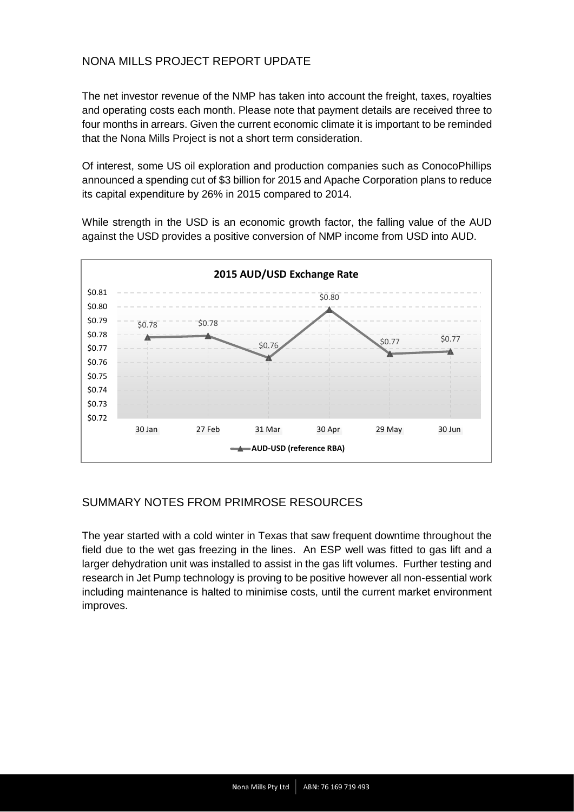## <span id="page-9-0"></span>NONA MILLS PROJECT REPORT UPDATE

The net investor revenue of the NMP has taken into account the freight, taxes, royalties and operating costs each month. Please note that payment details are received three to four months in arrears. Given the current economic climate it is important to be reminded that the Nona Mills Project is not a short term consideration.

Of interest, some US oil exploration and production companies such as ConocoPhillips announced a spending cut of \$3 billion for 2015 and Apache Corporation plans to reduce its capital expenditure by 26% in 2015 compared to 2014.

While strength in the USD is an economic growth factor, the falling value of the AUD against the USD provides a positive conversion of NMP income from USD into AUD.



## <span id="page-9-1"></span>SUMMARY NOTES FROM PRIMROSE RESOURCES

The year started with a cold winter in Texas that saw frequent downtime throughout the field due to the wet gas freezing in the lines. An ESP well was fitted to gas lift and a larger dehydration unit was installed to assist in the gas lift volumes. Further testing and research in Jet Pump technology is proving to be positive however all non-essential work including maintenance is halted to minimise costs, until the current market environment improves.